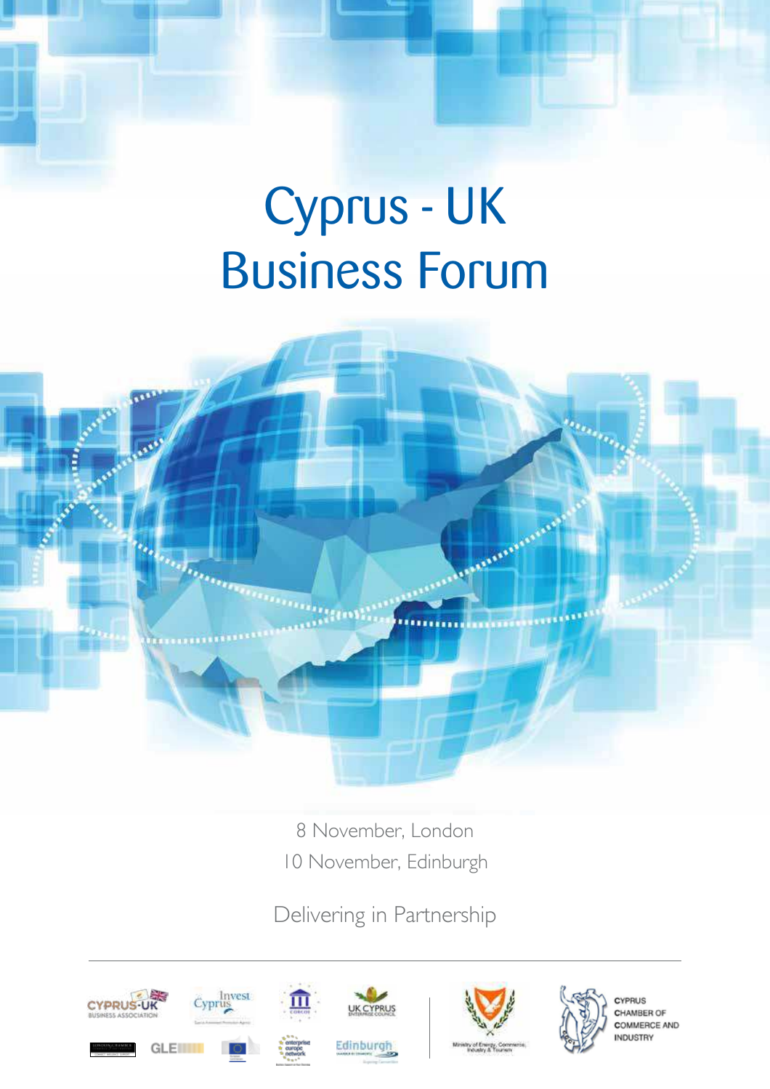# Cyprus - UK Business Forum



8 November, London 10 November, Edinburgh

Delivering in Partnership







CYPRUS CHAMBER OF **COMMERCE AND NDUSTRY**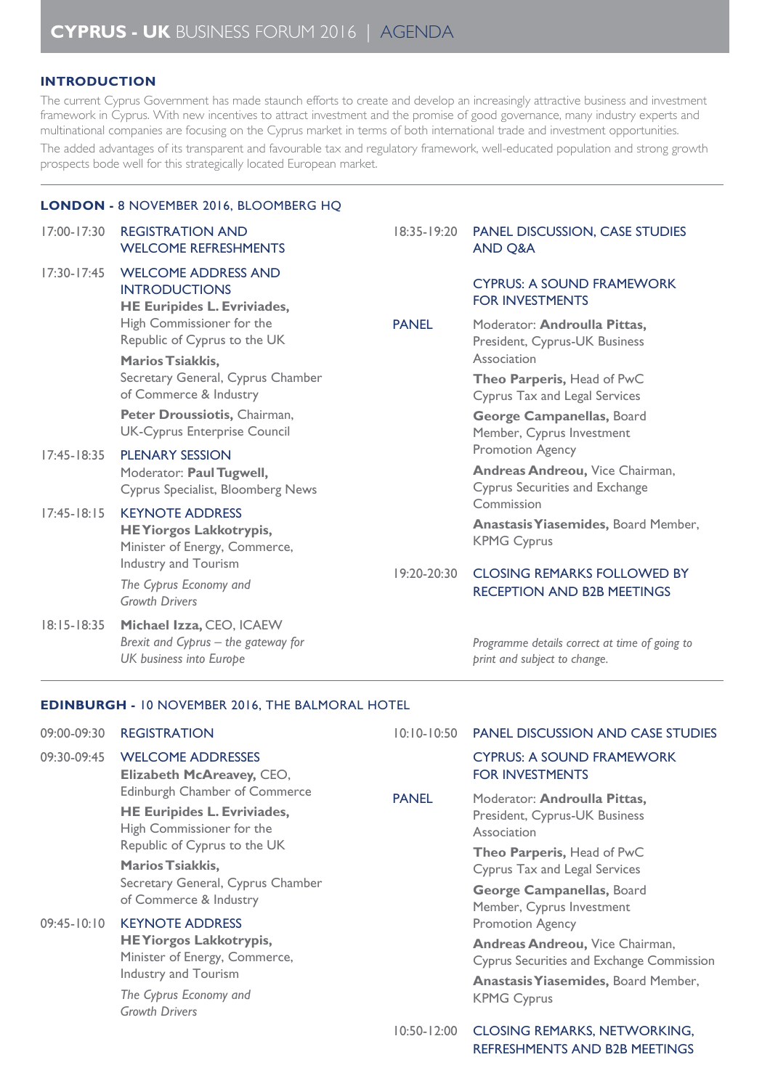## **INTRODUCTION**

The current Cyprus Government has made staunch efforts to create and develop an increasingly attractive business and investment framework in Cyprus. With new incentives to attract investment and the promise of good governance, many industry experts and multinational companies are focusing on the Cyprus market in terms of both international trade and investment opportunities. The added advantages of its transparent and favourable tax and regulatory framework, well-educated population and strong growth prospects bode well for this strategically located European market.

## **LONDON -** 8 novemBeR 2016, BloomBeRg hQ

| $17:00 - 17:30$ | <b>REGISTRATION AND</b><br><b>WELCOME REFRESHMENTS</b>                                                                                                                           | 18:35-19:20                 | <b>PANEL DISCUSSION, CASE STUDIES</b><br><b>AND Q&amp;A</b>                                  |
|-----------------|----------------------------------------------------------------------------------------------------------------------------------------------------------------------------------|-----------------------------|----------------------------------------------------------------------------------------------|
| $17:30 - 17:45$ | <b>WELCOME ADDRESS AND</b><br><b>INTRODUCTIONS</b><br><b>HE Euripides L. Evriviades,</b><br>High Commissioner for the<br>Republic of Cyprus to the UK<br><b>Marios Tsiakkis,</b> |                             | <b>CYPRUS: A SOUND FRAMEWORK</b><br><b>FOR INVESTMENTS</b>                                   |
|                 |                                                                                                                                                                                  | <b>PANEL</b><br>19:20-20:30 | Moderator: Androulla Pittas,<br>President, Cyprus-UK Business<br>Association                 |
|                 | Secretary General, Cyprus Chamber<br>of Commerce & Industry                                                                                                                      |                             | Theo Parperis, Head of PwC<br><b>Cyprus Tax and Legal Services</b>                           |
|                 | Peter Droussiotis, Chairman,<br><b>UK-Cyprus Enterprise Council</b>                                                                                                              |                             | George Campanellas, Board<br>Member, Cyprus Investment                                       |
| $17:45 - 18:35$ | <b>PLENARY SESSION</b><br>Moderator: Paul Tugwell,<br><b>Cyprus Specialist, Bloomberg News</b>                                                                                   |                             | Promotion Agency<br>Andreas Andreou, Vice Chairman,<br><b>Cyprus Securities and Exchange</b> |
| $17:45 - 18:15$ | <b>KEYNOTE ADDRESS</b><br><b>HEYiorgos Lakkotrypis,</b><br>Minister of Energy, Commerce,                                                                                         |                             | Commission<br>Anastasis Yiasemides, Board Member,<br><b>KPMG Cyprus</b>                      |
|                 | Industry and Tourism<br>The Cyprus Economy and<br><b>Growth Drivers</b>                                                                                                          |                             | <b>CLOSING REMARKS FOLLOWED BY</b><br><b>RECEPTION AND B2B MEETINGS</b>                      |
| $18:15 - 18:35$ | Michael Izza, CEO, ICAEW<br>Brexit and Cyprus - the gateway for<br>UK business into Europe                                                                                       |                             | Programme details correct at time of going to<br>print and subject to change.                |

### **EDINBURGH -** 10 novemBeR 2016, the BalmoRal hotel

| 09:00-09:30     | <b>REGISTRATION</b>                                                                                                                                                                                                        | $10:10-10:50$ | <b>PANEL DISCUSSION AND CASE STUDIES</b>                                                                                                                                                              |
|-----------------|----------------------------------------------------------------------------------------------------------------------------------------------------------------------------------------------------------------------------|---------------|-------------------------------------------------------------------------------------------------------------------------------------------------------------------------------------------------------|
| 09:30-09:45     | <b>WELCOME ADDRESSES</b><br>Elizabeth McAreavey, CEO,                                                                                                                                                                      |               | <b>CYPRUS: A SOUND FRAMEWORK</b><br><b>FOR INVESTMENTS</b>                                                                                                                                            |
|                 | Edinburgh Chamber of Commerce<br><b>HE Euripides L. Evriviades,</b><br>High Commissioner for the<br>Republic of Cyprus to the UK<br><b>Marios Tsiakkis,</b><br>Secretary General, Cyprus Chamber<br>of Commerce & Industry | <b>PANEL</b>  | Moderator: Androulla Pittas,<br>President, Cyprus-UK Business<br>Association<br>Theo Parperis, Head of PwC<br>Cyprus Tax and Legal Services<br>George Campanellas, Board<br>Member, Cyprus Investment |
| $09:45 - 10:10$ | <b>KEYNOTE ADDRESS</b><br><b>HEYiorgos Lakkotrypis,</b><br>Minister of Energy, Commerce,<br>Industry and Tourism<br>The Cyprus Economy and<br><b>Growth Drivers</b>                                                        |               | <b>Promotion Agency</b><br>Andreas Andreou, Vice Chairman,<br>Cyprus Securities and Exchange Commission<br>Anastasis Yiasemides, Board Member,<br><b>KPMG Cyprus</b>                                  |

10:50-12:00 closing RemaRKs, netwoRKing, RefReshments and B2B meetings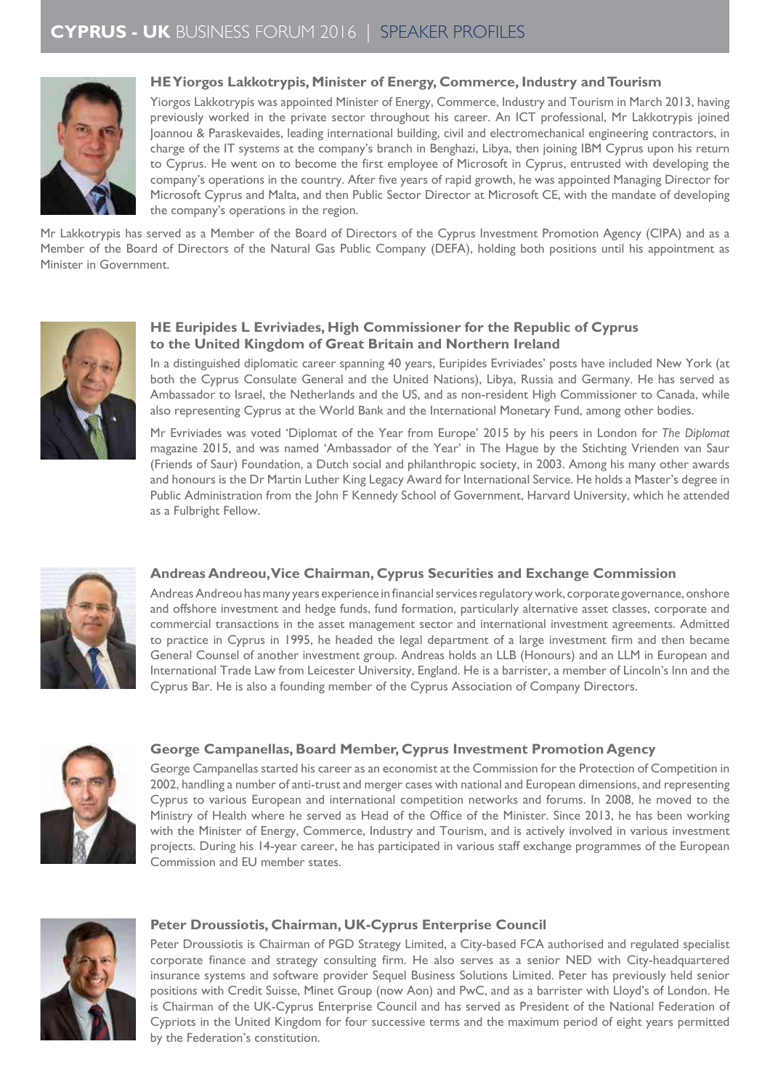

## **HE Yiorgos Lakkotrypis, Minister of Energy, Commerce, Industry and Tourism**

Yiorgos Lakkotrypis was appointed Minister of Energy, Commerce, Industry and Tourism in March 2013, having previously worked in the private sector throughout his career. An ICT professional, Mr Lakkotrypis joined Joannou & Paraskevaides, leading international building, civil and electromechanical engineering contractors, in charge of the IT systems at the company's branch in Benghazi, Libya, then joining IBM Cyprus upon his return to Cyprus. He went on to become the irst employee of Microsoft in Cyprus, entrusted with developing the company's operations in the country. After ive years of rapid growth, he was appointed Managing Director for Microsoft Cyprus and Malta, and then Public Sector Director at Microsoft CE, with the mandate of developing the company's operations in the region.

Mr Lakkotrypis has served as a Member of the Board of Directors of the Cyprus Investment Promotion Agency (CIPA) and as a Member of the Board of Directors of the Natural Gas Public Company (DEFA), holding both positions until his appointment as Minister in Government.



## **HE Euripides L Evriviades, High Commissioner for the Republic of Cyprus to the United Kingdom of Great Britain and Northern Ireland**

In a distinguished diplomatic career spanning 40 years, Euripides Evriviades' posts have included New York (at both the Cyprus Consulate General and the United Nations), Libya, Russia and Germany. He has served as Ambassador to Israel, the Netherlands and the US, and as non-resident High Commissioner to Canada, while also representing Cyprus at the World Bank and the International Monetary Fund, among other bodies.

mr evriviades was voted 'diplomat of the year from europe' 2015 by his peers in london for *The Diplomat* magazine 2015, and was named 'Ambassador of the Year' in The Hague by the Stichting Vrienden van Saur (Friends of Saur) Foundation, a Dutch social and philanthropic society, in 2003. Among his many other awards and honours is the Dr Martin Luther King Legacy Award for International Service. He holds a Master's degree in Public Administration from the John F Kennedy School of Government, Harvard University, which he attended as a fulbright fellow.



## **Andreas Andreou, Vice Chairman, Cyprus Securities and Exchange Commission**

Andreas Andreou has many years experience in financial services regulatory work, corporate governance, onshore and offshore investment and hedge funds, fund formation, particularly alternative asset classes, corporate and commercial transactions in the asset management sector and international investment agreements. Admitted to practice in Cyprus in 1995, he headed the legal department of a large investment irm and then became General Counsel of another investment group. Andreas holds an LLB (Honours) and an LLM in European and International Trade Law from Leicester University, England. He is a barrister, a member of Lincoln's Inn and the Cyprus Bar. He is also a founding member of the Cyprus Association of Company Directors.



## **George Campanellas, Board Member, Cyprus Investment Promotion Agency**

George Campanellas started his career as an economist at the Commission for the Protection of Competition in 2002, handling a number of anti-trust and merger cases with national and European dimensions, and representing cyprus to various european and international competition networks and forums. in 2008, he moved to the Ministry of Health where he served as Head of the Ofice of the Minister. Since 2013, he has been working with the Minister of Energy, Commerce, Industry and Tourism, and is actively involved in various investment projects. During his 14-year career, he has participated in various staff exchange programmes of the European Commission and EU member states.



### **Peter Droussiotis, Chairman, UK-Cyprus Enterprise Council**

Peter Droussiotis is Chairman of PGD Strategy Limited, a City-based FCA authorised and regulated specialist corporate inance and strategy consulting irm. He also serves as a senior NED with City-headquartered insurance systems and software provider Sequel Business Solutions Limited. Peter has previously held senior positions with Credit Suisse, Minet Group (now Aon) and PwC, and as a barrister with Lloyd's of London. He is Chairman of the UK-Cyprus Enterprise Council and has served as President of the National Federation of Cypriots in the United Kingdom for four successive terms and the maximum period of eight years permitted by the federation's constitution.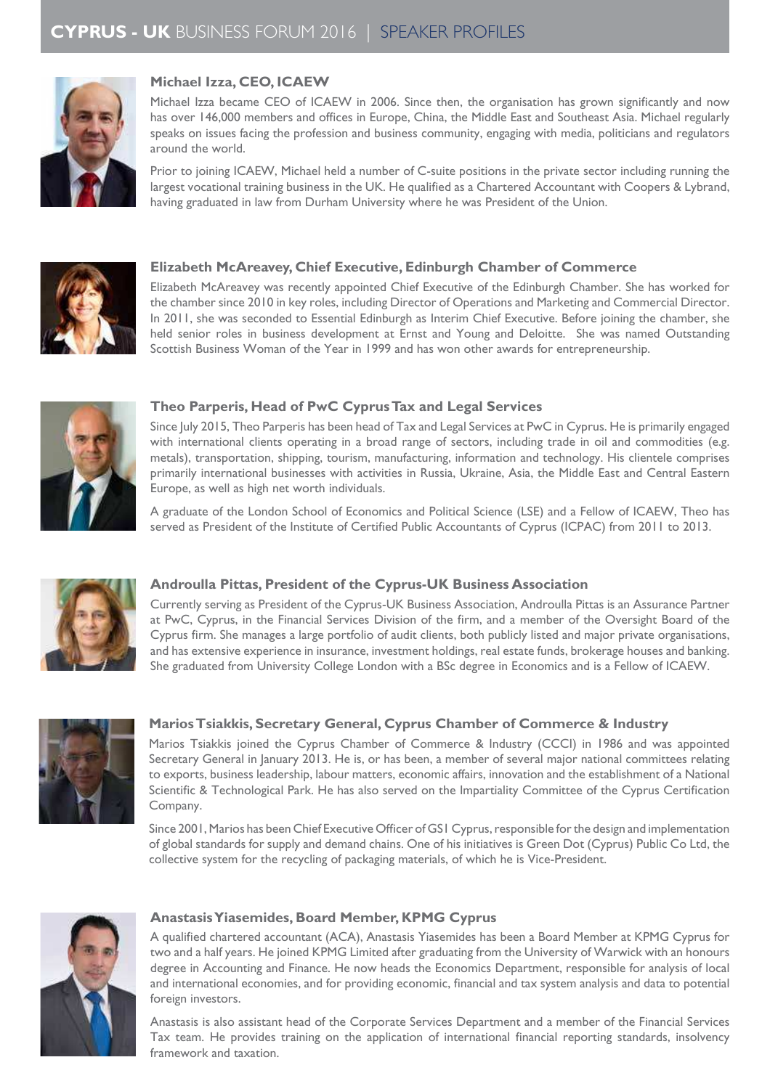

## **Michael Izza, CEO, ICAEW**

Michael Izza became CEO of ICAEW in 2006. Since then, the organisation has grown significantly and now has over 146,000 members and ofices in Europe, China, the Middle East and Southeast Asia. Michael regularly speaks on issues facing the profession and business community, engaging with media, politicians and regulators around the world.

Prior to joining ICAEW, Michael held a number of C-suite positions in the private sector including running the largest vocational training business in the UK. He qualified as a Chartered Accountant with Coopers & Lybrand, having graduated in law from Durham University where he was President of the Union.



## **Elizabeth McAreavey, Chief Executive, Edinburgh Chamber of Commerce**

Elizabeth McAreavey was recently appointed Chief Executive of the Edinburgh Chamber. She has worked for the chamber since 2010 in key roles, including Director of Operations and Marketing and Commercial Director. In 2011, she was seconded to Essential Edinburgh as Interim Chief Executive. Before joining the chamber, she held senior roles in business development at Ernst and Young and Deloitte. She was named Outstanding Scottish Business Woman of the Year in 1999 and has won other awards for entrepreneurship.



## **Theo Parperis, Head of PwC Cyprus Tax and Legal Services**

Since July 2015, Theo Parperis has been head of Tax and Legal Services at PwC in Cyprus. He is primarily engaged with international clients operating in a broad range of sectors, including trade in oil and commodities (e.g. metals), transportation, shipping, tourism, manufacturing, information and technology. his clientele comprises primarily international businesses with activities in Russia, Ukraine, Asia, the Middle East and Central Eastern Europe, as well as high net worth individuals.

A graduate of the London School of Economics and Political Science (LSE) and a Fellow of ICAEW, Theo has served as President of the Institute of Certified Public Accountants of Cyprus (ICPAC) from 2011 to 2013.



## **Androulla Pittas, President of the Cyprus-UK Business Association**

Currently serving as President of the Cyprus-UK Business Association, Androulla Pittas is an Assurance Partner at PwC, Cyprus, in the Financial Services Division of the irm, and a member of the Oversight Board of the Cyprus irm. She manages a large portfolio of audit clients, both publicly listed and major private organisations, and has extensive experience in insurance, investment holdings, real estate funds, brokerage houses and banking. She graduated from University College London with a BSc degree in Economics and is a Fellow of ICAEW.



## **Marios Tsiakkis, Secretary General, Cyprus Chamber of Commerce & Industry**

Marios Tsiakkis joined the Cyprus Chamber of Commerce & Industry (CCCI) in 1986 and was appointed Secretary General in January 2013. He is, or has been, a member of several major national committees relating to exports, business leadership, labour matters, economic affairs, innovation and the establishment of a National Scientific & Technological Park. He has also served on the Impartiality Committee of the Cyprus Certification company.

Since 2001, Marios has been Chief Executive Oficer of GS1 Cyprus, responsible for the design and implementation of global standards for supply and demand chains. One of his initiatives is Green Dot (Cyprus) Public Co Ltd, the collective system for the recycling of packaging materials, of which he is vice-President.



### **Anastasis Yiasemides, Board Member, KPMG Cyprus**

A qualiied chartered accountant (ACA), Anastasis Yiasemides has been a Board Member at KPMG Cyprus for two and a half years. He joined KPMG Limited after graduating from the University of Warwick with an honours degree in Accounting and Finance. He now heads the Economics Department, responsible for analysis of local and international economies, and for providing economic, inancial and tax system analysis and data to potential foreign investors.

Anastasis is also assistant head of the Corporate Services Department and a member of the Financial Services Tax team. He provides training on the application of international financial reporting standards, insolvency framework and taxation.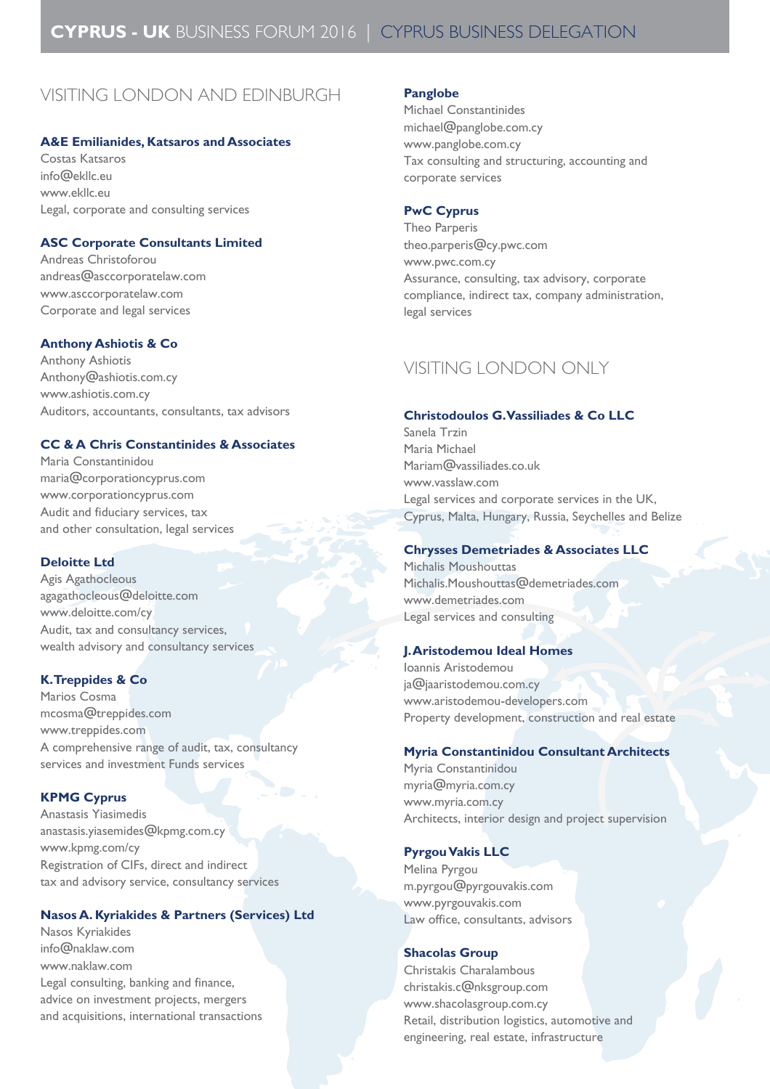# VISITING LONDON AND EDINBURGh

#### **A&E Emilianides, Katsaros and Associates**

costas Katsaros info@ekllc.eu www.ekllc.eu legal, corporate and consulting services

## **ASC Corporate Consultants Limited**

andreas christoforou andreas@asccorporatelaw.com www.asccorporatelaw.com corporate and legal services

#### **Anthony Ashiotis & Co**

**Anthony Ashiotis** Anthony@ashiotis.com.cy www.ashiotis.com.cy Auditors, accountants, consultants, tax advisors

## **CC & A Chris Constantinides & Associates**

maria constantinidou maria@corporationcyprus.com www.corporationcyprus.com Audit and fiduciary services, tax and other consultation, legal services

#### **Deloitte Ltd**

Agis Agathocleous agagathocleous@deloitte.com www.deloitte.com/cy Audit, tax and consultancy services, wealth advisory and consultancy services

### **K. Treppides & Co**

Marios Cosma mcosma@treppides.com www.treppides.com a comprehensive range of audit, tax, consultancy services and investment funds services

#### **KPMG Cyprus**

Anastasis Yiasimedis anastasis.yiasemides@kpmg.com.cy www.kpmg.com/cy Registration of CIFs, direct and indirect tax and advisory service, consultancy services

## **Nasos A. Kyriakides & Partners (Services) Ltd**

Nasos Kyriakides info@naklaw.com www.naklaw.com Legal consulting, banking and finance, advice on investment projects, mergers and acquisitions, international transactions

#### **Panglobe**

Michael Constantinides michael@panglobe.com.cy www.panglobe.com.cy Tax consulting and structuring, accounting and corporate services

#### **PwC Cyprus**

Theo Parperis theo.parperis@cy.pwc.com www.pwc.com.cy Assurance, consulting, tax advisory, corporate compliance, indirect tax, company administration, legal services

## VISITING LONDON ONLY

#### **Christodoulos G. Vassiliades & Co LLC**

Sanela Trzin Maria Michael mariam@vassiliades.co.uk www.vasslaw.com Legal services and corporate services in the UK, cyprus, malta, hungary, Russia, seychelles and Belize

## **Chrysses Demetriades & Associates LLC**

Michalis Moushouttas Michalis.Moushouttas@demetriades.com www.demetriades.com legal services and consulting

#### **J. Aristodemou Ideal Homes**

Ioannis Aristodemou ja@jaaristodemou.com.cy www.aristodemou-developers.com Property development, construction and real estate

#### **Myria Constantinidou Consultant Architects**

Myria Constantinidou myria@myria.com.cy www.myria.com.cy Architects, interior design and project supervision

#### **Pyrgou Vakis LLC**

Melina Pyrgou m.pyrgou@pyrgouvakis.com www.pyrgouvakis.com Law ofice, consultants, advisors

#### **Shacolas Group**

christakis charalambous christakis.c@nksgroup.com www.shacolasgroup.com.cy Retail, distribution logistics, automotive and engineering, real estate, infrastructure